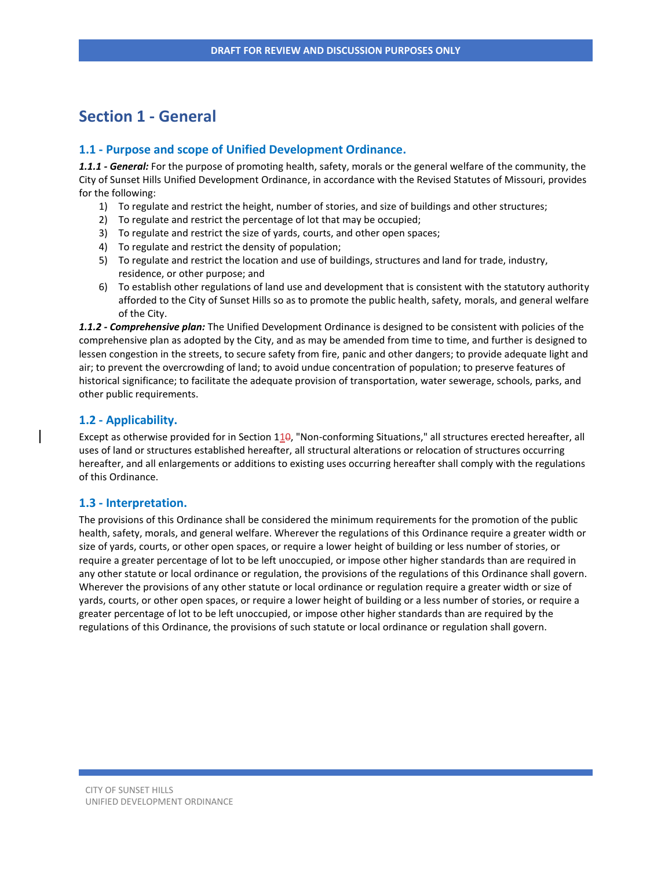# **Section 1 - General**

## **1.1 - Purpose and scope of Unified Development Ordinance.**

*1.1.1 - General:* For the purpose of promoting health, safety, morals or the general welfare of the community, the City of Sunset Hills Unified Development Ordinance, in accordance with the Revised Statutes of Missouri, provides for the following:

- 1) To regulate and restrict the height, number of stories, and size of buildings and other structures;
- 2) To regulate and restrict the percentage of lot that may be occupied;
- 3) To regulate and restrict the size of yards, courts, and other open spaces;
- 4) To regulate and restrict the density of population;
- 5) To regulate and restrict the location and use of buildings, structures and land for trade, industry, residence, or other purpose; and
- 6) To establish other regulations of land use and development that is consistent with the statutory authority afforded to the City of Sunset Hills so as to promote the public health, safety, morals, and general welfare of the City.

*1.1.2 - Comprehensive plan:* The Unified Development Ordinance is designed to be consistent with policies of the comprehensive plan as adopted by the City, and as may be amended from time to time, and further is designed to lessen congestion in the streets, to secure safety from fire, panic and other dangers; to provide adequate light and air; to prevent the overcrowding of land; to avoid undue concentration of population; to preserve features of historical significance; to facilitate the adequate provision of transportation, water sewerage, schools, parks, and other public requirements.

## **1.2 - Applicability.**

Except as otherwise provided for in Section 110, "Non-conforming Situations," all structures erected hereafter, all uses of land or structures established hereafter, all structural alterations or relocation of structures occurring hereafter, and all enlargements or additions to existing uses occurring hereafter shall comply with the regulations of this Ordinance.

#### **1.3 - Interpretation.**

The provisions of this Ordinance shall be considered the minimum requirements for the promotion of the public health, safety, morals, and general welfare. Wherever the regulations of this Ordinance require a greater width or size of yards, courts, or other open spaces, or require a lower height of building or less number of stories, or require a greater percentage of lot to be left unoccupied, or impose other higher standards than are required in any other statute or local ordinance or regulation, the provisions of the regulations of this Ordinance shall govern. Wherever the provisions of any other statute or local ordinance or regulation require a greater width or size of yards, courts, or other open spaces, or require a lower height of building or a less number of stories, or require a greater percentage of lot to be left unoccupied, or impose other higher standards than are required by the regulations of this Ordinance, the provisions of such statute or local ordinance or regulation shall govern.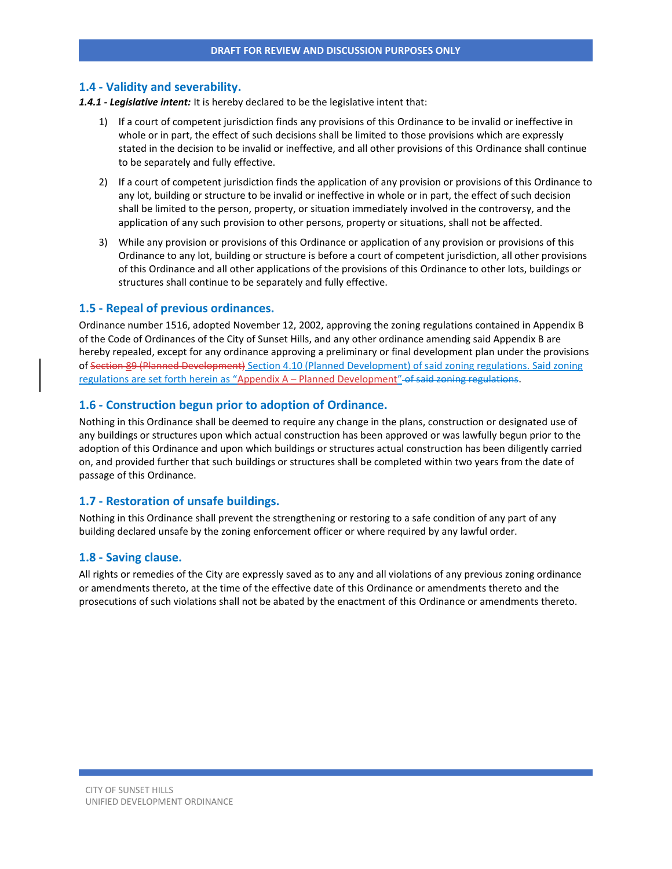#### **1.4 - Validity and severability.**

*1.4.1 - Legislative intent:* It is hereby declared to be the legislative intent that:

- 1) If a court of competent jurisdiction finds any provisions of this Ordinance to be invalid or ineffective in whole or in part, the effect of such decisions shall be limited to those provisions which are expressly stated in the decision to be invalid or ineffective, and all other provisions of this Ordinance shall continue to be separately and fully effective.
- 2) If a court of competent jurisdiction finds the application of any provision or provisions of this Ordinance to any lot, building or structure to be invalid or ineffective in whole or in part, the effect of such decision shall be limited to the person, property, or situation immediately involved in the controversy, and the application of any such provision to other persons, property or situations, shall not be affected.
- 3) While any provision or provisions of this Ordinance or application of any provision or provisions of this Ordinance to any lot, building or structure is before a court of competent jurisdiction, all other provisions of this Ordinance and all other applications of the provisions of this Ordinance to other lots, buildings or structures shall continue to be separately and fully effective.

#### **1.5 - Repeal of previous ordinances.**

Ordinance number 1516, adopted November 12, 2002, approving the zoning regulations contained in Appendix B of the Code of Ordinances of the City of Sunset Hills, and any other ordinance amending said Appendix B are hereby repealed, except for any ordinance approving a preliminary or final development plan under the provisions of Section 89 (Planned Development) Section 4.10 (Planned Development) of said zoning regulations. Said zoning regulations are set forth herein as "Appendix A – Planned Development" of said zoning regulations.

#### **1.6 - Construction begun prior to adoption of Ordinance.**

Nothing in this Ordinance shall be deemed to require any change in the plans, construction or designated use of any buildings or structures upon which actual construction has been approved or was lawfully begun prior to the adoption of this Ordinance and upon which buildings or structures actual construction has been diligently carried on, and provided further that such buildings or structures shall be completed within two years from the date of passage of this Ordinance.

#### **1.7 - Restoration of unsafe buildings.**

Nothing in this Ordinance shall prevent the strengthening or restoring to a safe condition of any part of any building declared unsafe by the zoning enforcement officer or where required by any lawful order.

#### **1.8 - Saving clause.**

All rights or remedies of the City are expressly saved as to any and all violations of any previous zoning ordinance or amendments thereto, at the time of the effective date of this Ordinance or amendments thereto and the prosecutions of such violations shall not be abated by the enactment of this Ordinance or amendments thereto.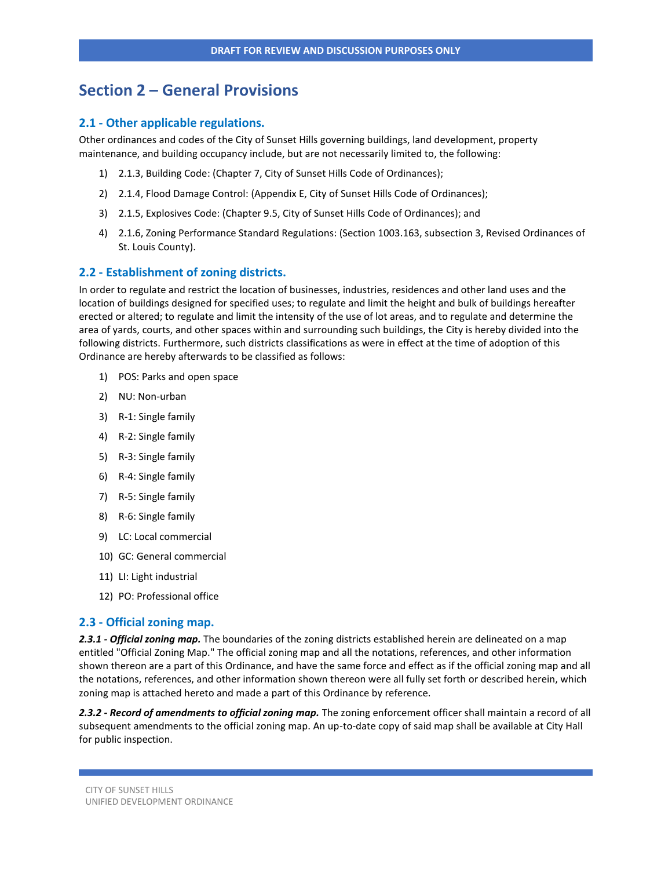# **Section 2 – General Provisions**

#### **2.1 - Other applicable regulations.**

Other ordinances and codes of the City of Sunset Hills governing buildings, land development, property maintenance, and building occupancy include, but are not necessarily limited to, the following:

- 1) 2.1.3, Building Code: (Chapter 7, City of Sunset Hills Code of Ordinances);
- 2) 2.1.4, Flood Damage Control: (Appendix E, City of Sunset Hills Code of Ordinances);
- 3) 2.1.5, Explosives Code: (Chapter 9.5, City of Sunset Hills Code of Ordinances); and
- 4) 2.1.6, Zoning Performance Standard Regulations: (Section 1003.163, subsection 3, Revised Ordinances of St. Louis County).

#### **2.2 - Establishment of zoning districts.**

In order to regulate and restrict the location of businesses, industries, residences and other land uses and the location of buildings designed for specified uses; to regulate and limit the height and bulk of buildings hereafter erected or altered; to regulate and limit the intensity of the use of lot areas, and to regulate and determine the area of yards, courts, and other spaces within and surrounding such buildings, the City is hereby divided into the following districts. Furthermore, such districts classifications as were in effect at the time of adoption of this Ordinance are hereby afterwards to be classified as follows:

- 1) POS: Parks and open space
- 2) NU: Non-urban
- 3) R-1: Single family
- 4) R-2: Single family
- 5) R-3: Single family
- 6) R-4: Single family
- 7) R-5: Single family
- 8) R-6: Single family
- 9) LC: Local commercial
- 10) GC: General commercial
- 11) LI: Light industrial
- 12) PO: Professional office

#### **2.3 - Official zoning map.**

*2.3.1 - Official zoning map.* The boundaries of the zoning districts established herein are delineated on a map entitled "Official Zoning Map." The official zoning map and all the notations, references, and other information shown thereon are a part of this Ordinance, and have the same force and effect as if the official zoning map and all the notations, references, and other information shown thereon were all fully set forth or described herein, which zoning map is attached hereto and made a part of this Ordinance by reference.

*2.3.2 - Record of amendments to official zoning map.* The zoning enforcement officer shall maintain a record of all subsequent amendments to the official zoning map. An up-to-date copy of said map shall be available at City Hall for public inspection.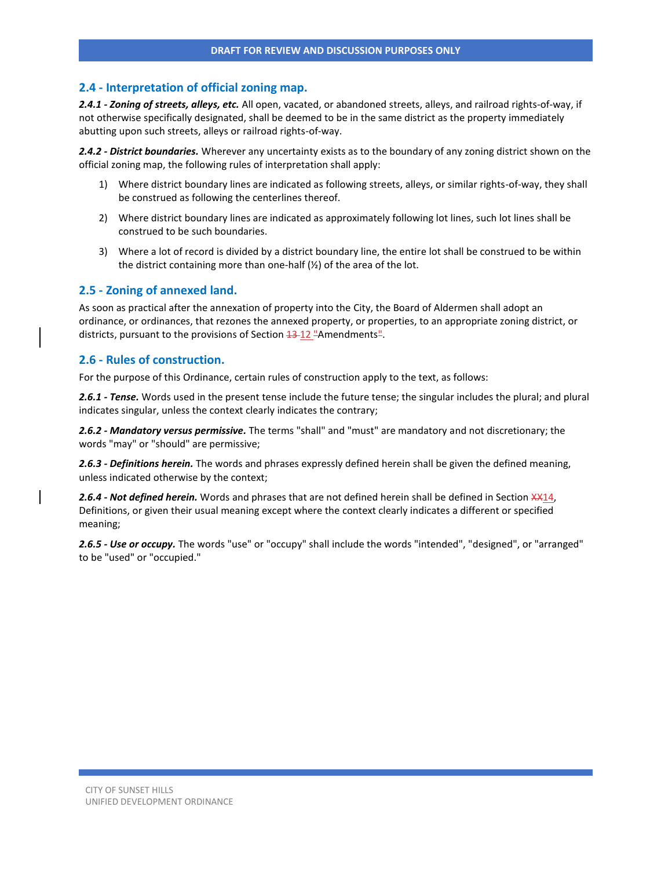## **2.4 - Interpretation of official zoning map.**

*2.4.1 - Zoning of streets, alleys, etc.* All open, vacated, or abandoned streets, alleys, and railroad rights-of-way, if not otherwise specifically designated, shall be deemed to be in the same district as the property immediately abutting upon such streets, alleys or railroad rights-of-way.

*2.4.2 - District boundaries.* Wherever any uncertainty exists as to the boundary of any zoning district shown on the official zoning map, the following rules of interpretation shall apply:

- 1) Where district boundary lines are indicated as following streets, alleys, or similar rights-of-way, they shall be construed as following the centerlines thereof.
- 2) Where district boundary lines are indicated as approximately following lot lines, such lot lines shall be construed to be such boundaries.
- 3) Where a lot of record is divided by a district boundary line, the entire lot shall be construed to be within the district containing more than one-half  $(\frac{1}{2})$  of the area of the lot.

## **2.5 - Zoning of annexed land.**

As soon as practical after the annexation of property into the City, the Board of Aldermen shall adopt an ordinance, or ordinances, that rezones the annexed property, or properties, to an appropriate zoning district, or districts, pursuant to the provisions of Section  $\frac{13}{12}$  "Amendments".

#### **2.6 - Rules of construction.**

For the purpose of this Ordinance, certain rules of construction apply to the text, as follows:

*2.6.1 - Tense.* Words used in the present tense include the future tense; the singular includes the plural; and plural indicates singular, unless the context clearly indicates the contrary;

*2.6.2 - Mandatory versus permissive.* The terms "shall" and "must" are mandatory and not discretionary; the words "may" or "should" are permissive;

*2.6.3 - Definitions herein.* The words and phrases expressly defined herein shall be given the defined meaning, unless indicated otherwise by the context;

*2.6.4 - Not defined herein.* Words and phrases that are not defined herein shall be defined in Section XX14, Definitions, or given their usual meaning except where the context clearly indicates a different or specified meaning;

*2.6.5 - Use or occupy.* The words "use" or "occupy" shall include the words "intended", "designed", or "arranged" to be "used" or "occupied."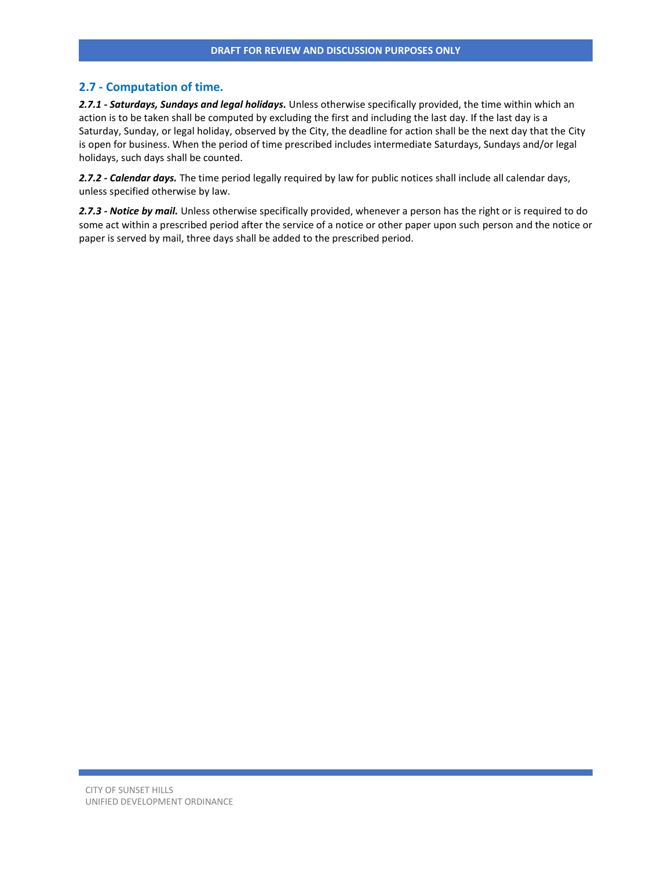#### **2.7 - Computation of time.**

*2.7.1 - Saturdays, Sundays and legal holidays.* Unless otherwise specifically provided, the time within which an action is to be taken shall be computed by excluding the first and including the last day. If the last day is a Saturday, Sunday, or legal holiday, observed by the City, the deadline for action shall be the next day that the City is open for business. When the period of time prescribed includes intermediate Saturdays, Sundays and/or legal holidays, such days shall be counted.

*2.7.2 - Calendar days.* The time period legally required by law for public notices shall include all calendar days, unless specified otherwise by law.

*2.7.3 - Notice by mail.* Unless otherwise specifically provided, whenever a person has the right or is required to do some act within a prescribed period after the service of a notice or other paper upon such person and the notice or paper is served by mail, three days shall be added to the prescribed period.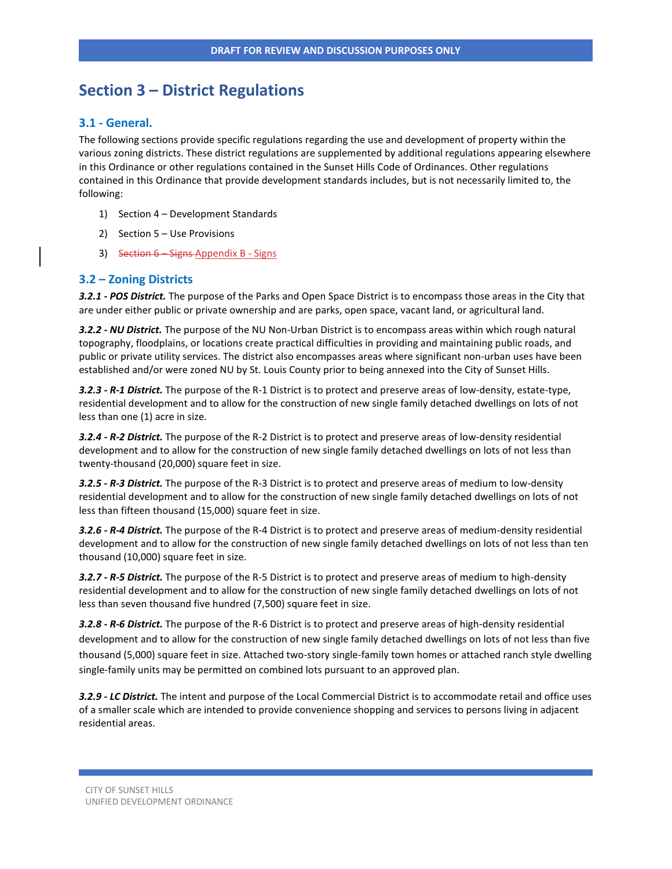# **Section 3 – District Regulations**

## **3.1 - General.**

The following sections provide specific regulations regarding the use and development of property within the various zoning districts. These district regulations are supplemented by additional regulations appearing elsewhere in this Ordinance or other regulations contained in the Sunset Hills Code of Ordinances. Other regulations contained in this Ordinance that provide development standards includes, but is not necessarily limited to, the following:

- 1) Section 4 Development Standards
- 2) Section 5 Use Provisions
- 3) Section 6 Signs Appendix B Signs

## **3.2 – Zoning Districts**

*3.2.1 - POS District.* The purpose of the Parks and Open Space District is to encompass those areas in the City that are under either public or private ownership and are parks, open space, vacant land, or agricultural land.

*3.2.2 - NU District.* The purpose of the NU Non-Urban District is to encompass areas within which rough natural topography, floodplains, or locations create practical difficulties in providing and maintaining public roads, and public or private utility services. The district also encompasses areas where significant non-urban uses have been established and/or were zoned NU by St. Louis County prior to being annexed into the City of Sunset Hills.

*3.2.3 - R-1 District.* The purpose of the R-1 District is to protect and preserve areas of low-density, estate-type, residential development and to allow for the construction of new single family detached dwellings on lots of not less than one (1) acre in size.

*3.2.4 - R-2 District.* The purpose of the R-2 District is to protect and preserve areas of low-density residential development and to allow for the construction of new single family detached dwellings on lots of not less than twenty-thousand (20,000) square feet in size.

*3.2.5 - R-3 District.* The purpose of the R-3 District is to protect and preserve areas of medium to low-density residential development and to allow for the construction of new single family detached dwellings on lots of not less than fifteen thousand (15,000) square feet in size.

*3.2.6 - R-4 District.* The purpose of the R-4 District is to protect and preserve areas of medium-density residential development and to allow for the construction of new single family detached dwellings on lots of not less than ten thousand (10,000) square feet in size.

*3.2.7 - R-5 District.* The purpose of the R-5 District is to protect and preserve areas of medium to high-density residential development and to allow for the construction of new single family detached dwellings on lots of not less than seven thousand five hundred (7,500) square feet in size.

*3.2.8 - R-6 District.* The purpose of the R-6 District is to protect and preserve areas of high-density residential development and to allow for the construction of new single family detached dwellings on lots of not less than five thousand (5,000) square feet in size. Attached two-story single-family town homes or attached ranch style dwelling single-family units may be permitted on combined lots pursuant to an approved plan.

*3.2.9 - LC District.* The intent and purpose of the Local Commercial District is to accommodate retail and office uses of a smaller scale which are intended to provide convenience shopping and services to persons living in adjacent residential areas.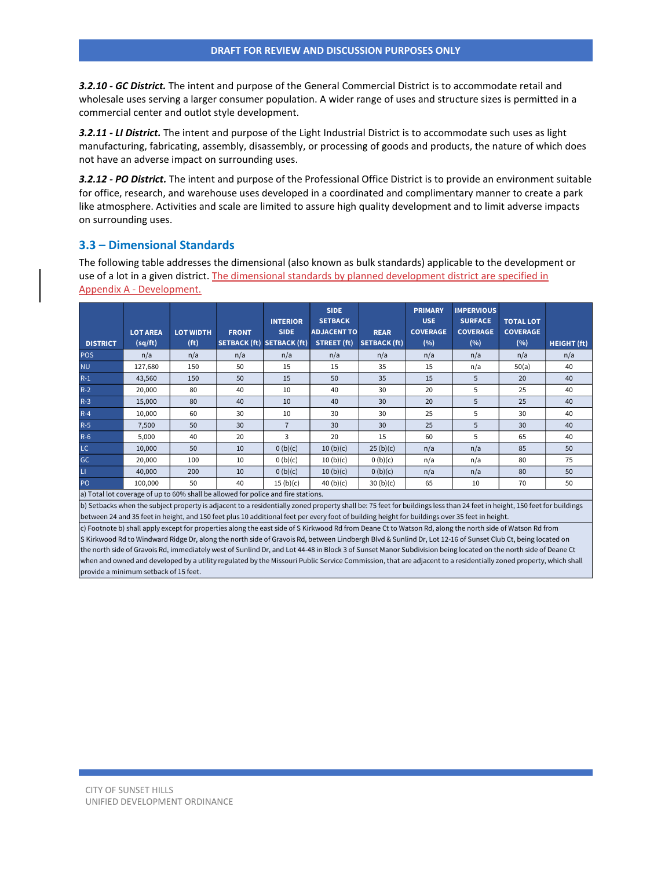*3.2.10 - GC District.* The intent and purpose of the General Commercial District is to accommodate retail and wholesale uses serving a larger consumer population. A wider range of uses and structure sizes is permitted in a commercial center and outlot style development.

*3.2.11 - LI District.* The intent and purpose of the Light Industrial District is to accommodate such uses as light manufacturing, fabricating, assembly, disassembly, or processing of goods and products, the nature of which does not have an adverse impact on surrounding uses.

*3.2.12 - PO District.* The intent and purpose of the Professional Office District is to provide an environment suitable for office, research, and warehouse uses developed in a coordinated and complimentary manner to create a park like atmosphere. Activities and scale are limited to assure high quality development and to limit adverse impacts on surrounding uses.

## **3.3 – Dimensional Standards**

The following table addresses the dimensional (also known as bulk standards) applicable to the development or use of a lot in a given district. The dimensional standards by planned development district are specified in Appendix A - Development.

|                                                                                                                                                                                                                                 |                 |                   |                                                                                                                                                                                                                                    | <b>INTERIOR</b> | <b>SIDE</b><br><b>SETBACK</b> |                     | <b>PRIMARY</b><br><b>USE</b> | <b>IMPERVIOUS</b><br><b>SURFACE</b> | <b>TOTAL LOT</b> |                    |
|---------------------------------------------------------------------------------------------------------------------------------------------------------------------------------------------------------------------------------|-----------------|-------------------|------------------------------------------------------------------------------------------------------------------------------------------------------------------------------------------------------------------------------------|-----------------|-------------------------------|---------------------|------------------------------|-------------------------------------|------------------|--------------------|
|                                                                                                                                                                                                                                 | <b>LOT AREA</b> | <b>LOT WIDTH</b>  | <b>FRONT</b>                                                                                                                                                                                                                       | <b>SIDE</b>     | <b>ADJACENT TO</b>            | <b>REAR</b>         | <b>COVERAGE</b>              | <b>COVERAGE</b>                     | <b>COVERAGE</b>  |                    |
| <b>DISTRICT</b>                                                                                                                                                                                                                 | (sq/ft)         | (f <sup>t</sup> ) | <b>SETBACK (ft)</b>                                                                                                                                                                                                                | SETBACK (ft)    | STREET (ft)                   | <b>SETBACK (ft)</b> | (%)                          | (%)                                 | (%)              | <b>HEIGHT (ft)</b> |
| <b>POS</b>                                                                                                                                                                                                                      | n/a             | n/a               | n/a                                                                                                                                                                                                                                | n/a             | n/a                           | n/a                 | n/a                          | n/a                                 | n/a              | n/a                |
| <b>NU</b>                                                                                                                                                                                                                       | 127,680         | 150               | 50                                                                                                                                                                                                                                 | 15              | 15                            | 35                  | 15                           | n/a                                 | 50(a)            | 40                 |
| $R-1$                                                                                                                                                                                                                           | 43,560          | 150               | 50                                                                                                                                                                                                                                 | 15              | 50                            | 35                  | 15                           | 5                                   | 20               | 40                 |
| $R-2$                                                                                                                                                                                                                           | 20,000          | 80                | 40                                                                                                                                                                                                                                 | 10              | 40                            | 30                  | 20                           | 5                                   | 25               | 40                 |
| $R-3$                                                                                                                                                                                                                           | 15,000          | 80                | 40                                                                                                                                                                                                                                 | 10              | 40                            | 30                  | 20                           | 5                                   | 25               | 40                 |
| $R-4$                                                                                                                                                                                                                           | 10,000          | 60                | 30                                                                                                                                                                                                                                 | 10              | 30                            | 30                  | 25                           | 5                                   | 30               | 40                 |
| $R-5$                                                                                                                                                                                                                           | 7,500           | 50                | 30                                                                                                                                                                                                                                 | $\overline{7}$  | 30                            | 30                  | 25                           | 5                                   | 30               | 40                 |
| $R-6$                                                                                                                                                                                                                           | 5,000           | 40                | 20                                                                                                                                                                                                                                 | 3               | 20                            | 15                  | 60                           | .5                                  | 65               | 40                 |
| LC.                                                                                                                                                                                                                             | 10,000          | 50                | 10                                                                                                                                                                                                                                 | 0 (b)(c)        | 10(b)(c)                      | 25(b)(c)            | n/a                          | n/a                                 | 85               | 50                 |
| GC                                                                                                                                                                                                                              | 20,000          | 100               | 10                                                                                                                                                                                                                                 | 0(b)(c)         | 10(b)(c)                      | 0(b)(c)             | n/a                          | n/a                                 | 80               | 75                 |
| $\mathsf{L}\mathsf{L}$                                                                                                                                                                                                          | 40,000          | 200               | 10                                                                                                                                                                                                                                 | 0(b)(c)         | 10(b)(c)                      | 0(b)(c)             | n/a                          | n/a                                 | 80               | 50                 |
| PO <sub>1</sub>                                                                                                                                                                                                                 | 100,000         | 50                | 40                                                                                                                                                                                                                                 | 15(b)(c)        | 40 $(b)(c)$                   | 30(b)(c)            | 65                           | 10                                  | 70               | 50                 |
| $\sim$ MeV and a state of the state of the state of the state of the state of the state of the state of the state of the state of the state of the state of the state of the state of the state of the state of the state of th |                 |                   | $\mathcal{L}$ . The second contract of the second contract of the second contract of the second contract of the second contract of the second contract of the second contract of the second contract of the second contract of the |                 |                               |                     |                              |                                     |                  |                    |

a) Total lot coverage of up to 60% shall be allowed for police and fire stations.

b) Setbacks when the subject property is adjacent to a residentially zoned property shall be: 75 feet for buildings less than 24 feet in height, 150 feet for buildings between 24 and 35 feet in height, and 150 feet plus 10 additional feet per every foot of building height for buildings over 35 feet in height.

c) Footnote b) shall apply except for properties along the east side of S Kirkwood Rd from Deane Ct to Watson Rd, along the north side of Watson Rd from S Kirkwood Rd to Windward Ridge Dr, along the north side of Gravois Rd, between Lindbergh Blvd & Sunlind Dr, Lot 12-16 of Sunset Club Ct, being located on the north side of Gravois Rd, immediately west of Sunlind Dr, and Lot 44-48 in Block 3 of Sunset Manor Subdivision being located on the north side of Deane Ct when and owned and developed by a utility regulated by the Missouri Public Service Commission, that are adjacent to a residentially zoned property, which shall provide a minimum setback of 15 feet.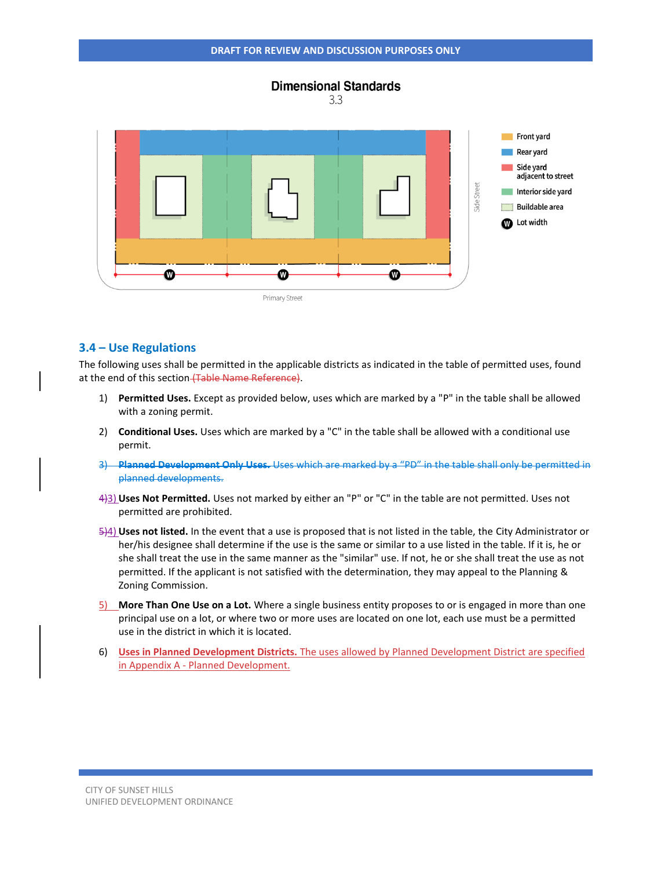

#### **3.4 – Use Regulations**

The following uses shall be permitted in the applicable districts as indicated in the table of permitted uses, found at the end of this section (Table Name Reference).

- 1) **Permitted Uses.** Except as provided below, uses which are marked by a "P" in the table shall be allowed with a zoning permit.
- 2) **Conditional Uses.** Uses which are marked by a "C" in the table shall be allowed with a conditional use permit.
- 3) **Planned Development Only Uses.** Uses which are marked by a "PD" in the table shall only be permitted in planned developments.
- 4)3) **Uses Not Permitted.** Uses not marked by either an "P" or "C" in the table are not permitted. Uses not permitted are prohibited.
- 5)4) **Uses not listed.** In the event that a use is proposed that is not listed in the table, the City Administrator or her/his designee shall determine if the use is the same or similar to a use listed in the table. If it is, he or she shall treat the use in the same manner as the "similar" use. If not, he or she shall treat the use as not permitted. If the applicant is not satisfied with the determination, they may appeal to the Planning & Zoning Commission.
- 5) **More Than One Use on a Lot.** Where a single business entity proposes to or is engaged in more than one principal use on a lot, or where two or more uses are located on one lot, each use must be a permitted use in the district in which it is located.
- 6) **Uses in Planned Development Districts.** The uses allowed by Planned Development District are specified in Appendix A - Planned Development.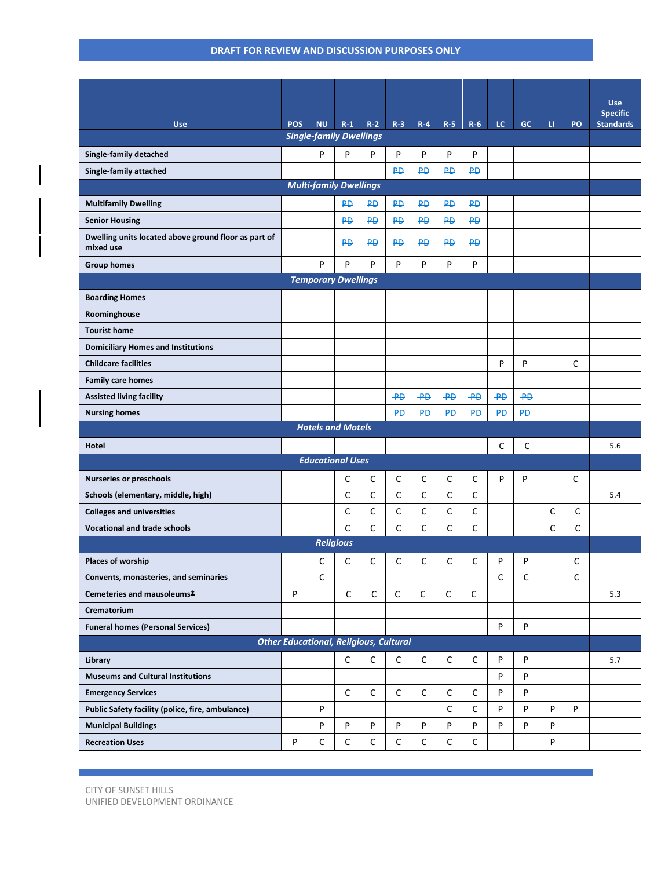|                                                      |                                               |                                             |                  |           |                 |             |                 |                 |                 |                |   |             | <b>Use</b>       |
|------------------------------------------------------|-----------------------------------------------|---------------------------------------------|------------------|-----------|-----------------|-------------|-----------------|-----------------|-----------------|----------------|---|-------------|------------------|
|                                                      |                                               |                                             |                  |           |                 |             |                 |                 |                 |                |   |             | <b>Specific</b>  |
| <b>Use</b>                                           | <b>POS</b>                                    | <b>NU</b><br><b>Single-family Dwellings</b> | $R-1$            | $R-2$     | $R-3$           | $R - 4$     | $R-5$           | $R-6$           | LC.             | <b>GC</b>      | u | PO          | <b>Standards</b> |
| Single-family detached                               |                                               | P                                           | P                | P         | P               | P           | P               | P               |                 |                |   |             |                  |
| Single-family attached                               |                                               |                                             |                  |           | <b>PD</b>       | <b>PD</b>   | <b>PD</b>       | <b>PD</b>       |                 |                |   |             |                  |
|                                                      |                                               | <b>Multi-family Dwellings</b>               |                  |           |                 |             |                 |                 |                 |                |   |             |                  |
| <b>Multifamily Dwelling</b>                          |                                               |                                             | <b>PD</b>        | ₽Đ        | <b>PD</b>       | <b>PD</b>   | <b>PD</b>       | <b>PD</b>       |                 |                |   |             |                  |
| <b>Senior Housing</b>                                |                                               |                                             | <b>PD</b>        | <b>PD</b> | <b>PD</b>       | <b>PD</b>   | <b>PD</b>       | <b>PD</b>       |                 |                |   |             |                  |
| Dwelling units located above ground floor as part of |                                               |                                             | <b>PD</b>        | <b>PD</b> | <b>PD</b>       | <b>PD</b>   | <b>PD</b>       | <b>PD</b>       |                 |                |   |             |                  |
| mixed use                                            |                                               |                                             |                  |           |                 |             |                 |                 |                 |                |   |             |                  |
| <b>Group homes</b>                                   |                                               | P                                           | P                | P         | P               | P           | P               | P               |                 |                |   |             |                  |
| <b>Temporary Dwellings</b>                           |                                               |                                             |                  |           |                 |             |                 |                 |                 |                |   |             |                  |
| <b>Boarding Homes</b>                                |                                               |                                             |                  |           |                 |             |                 |                 |                 |                |   |             |                  |
| Roominghouse                                         |                                               |                                             |                  |           |                 |             |                 |                 |                 |                |   |             |                  |
| <b>Tourist home</b>                                  |                                               |                                             |                  |           |                 |             |                 |                 |                 |                |   |             |                  |
| <b>Domiciliary Homes and Institutions</b>            |                                               |                                             |                  |           |                 |             |                 |                 |                 |                |   |             |                  |
| <b>Childcare facilities</b>                          |                                               |                                             |                  |           |                 |             |                 |                 | P               | P              |   | C           |                  |
| <b>Family care homes</b>                             |                                               |                                             |                  |           |                 |             |                 |                 |                 |                |   |             |                  |
| <b>Assisted living facility</b>                      |                                               |                                             |                  |           | $\overline{P}$  | $+$         | $\overline{AB}$ | $\overline{P}$  | $\overline{AB}$ | $+$            |   |             |                  |
| <b>Nursing homes</b>                                 |                                               |                                             |                  |           | $\overline{AB}$ | $+4$        | $\overline{AB}$ | $\overline{AB}$ | $\overline{AB}$ | P <sub>D</sub> |   |             |                  |
|                                                      | <b>Hotels and Motels</b>                      |                                             |                  |           |                 |             |                 |                 |                 |                |   |             |                  |
| <b>Hotel</b>                                         |                                               |                                             |                  |           |                 |             |                 |                 | C               | C              |   |             | 5.6              |
|                                                      |                                               | <b>Educational Uses</b>                     |                  |           |                 |             |                 |                 |                 |                |   |             |                  |
| <b>Nurseries or preschools</b>                       |                                               |                                             | C                | C         | C               | C           | C               | C               | P               | P              |   | С           |                  |
| Schools (elementary, middle, high)                   |                                               |                                             | C                | C         | C               | C           | C               | C               |                 |                |   |             | 5.4              |
| <b>Colleges and universities</b>                     |                                               |                                             | C                | C         | C               | $\mathsf C$ | C               | C               |                 |                | C | C           |                  |
| <b>Vocational and trade schools</b>                  |                                               |                                             | C                | C         | C               | C           | C               | C               |                 |                | C | C           |                  |
|                                                      |                                               |                                             | <b>Religious</b> |           |                 |             |                 |                 |                 |                |   |             |                  |
| Places of worship                                    |                                               | C                                           | С                | C         | C               | С           | С               | С               | P               | P              |   | С           |                  |
| Convents, monasteries, and seminaries                |                                               | $\mathsf C$                                 |                  |           |                 |             |                 |                 | C               | $\mathsf C$    |   | С           |                  |
| Cemeteries and mausoleums*                           | P                                             |                                             | $\mathsf C$      | C         | $\mathsf C$     | C           | $\mathsf{C}$    | C               |                 |                |   |             | 5.3              |
| Crematorium                                          |                                               |                                             |                  |           |                 |             |                 |                 |                 |                |   |             |                  |
| <b>Funeral homes (Personal Services)</b>             |                                               |                                             |                  |           |                 |             |                 |                 | P               | P              |   |             |                  |
|                                                      | <b>Other Educational, Religious, Cultural</b> |                                             |                  |           |                 |             |                 |                 |                 |                |   |             |                  |
| Library                                              |                                               |                                             | C                | C         | C               | C           | C               | C               | P               | P              |   |             | 5.7              |
| <b>Museums and Cultural Institutions</b>             |                                               |                                             |                  |           |                 |             |                 |                 | P               | P              |   |             |                  |
| <b>Emergency Services</b>                            |                                               |                                             | C                | C         | C               | C           | C               | C               | P               | P              |   |             |                  |
| Public Safety facility (police, fire, ambulance)     |                                               | P                                           |                  |           |                 |             | C               | C               | P               | P              | P | $\mathbf P$ |                  |
| <b>Municipal Buildings</b>                           |                                               | P                                           | P                | P         | P               | P           | P               | P               | P               | P              | P |             |                  |
| <b>Recreation Uses</b>                               | P                                             | C                                           | $\mathsf C$      | C         | C               | $\mathsf C$ | C               | C               |                 |                | P |             |                  |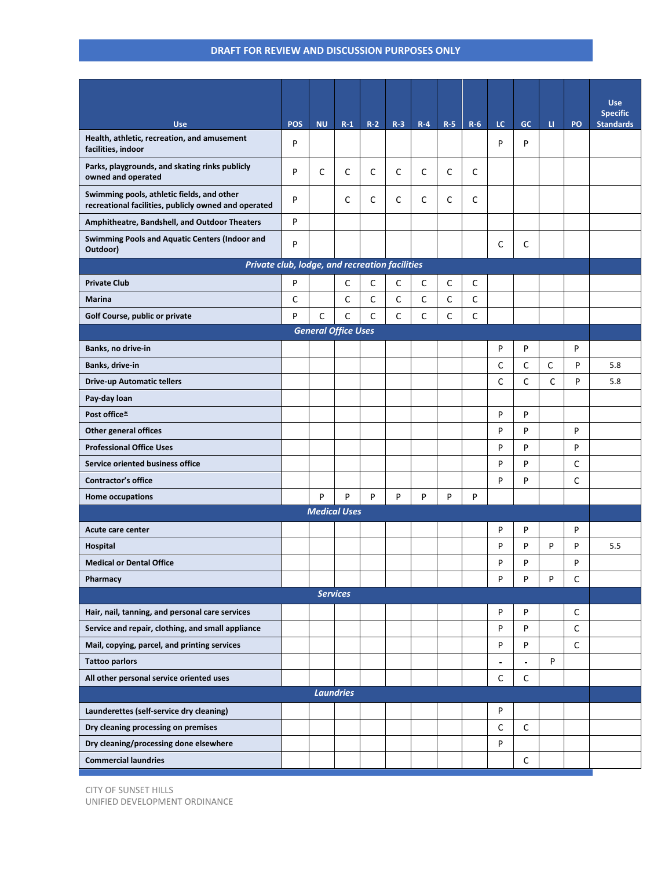|                                                                                                    |            |                            |       |             |       |              |       |              |                          |              |              |             | <b>Use</b>                          |
|----------------------------------------------------------------------------------------------------|------------|----------------------------|-------|-------------|-------|--------------|-------|--------------|--------------------------|--------------|--------------|-------------|-------------------------------------|
| <b>Use</b>                                                                                         | <b>POS</b> | <b>NU</b>                  | $R-1$ | $R-2$       | $R-3$ | $R-4$        | $R-5$ | $R-6$        | LC.                      | GC           | u.           | PO          | <b>Specific</b><br><b>Standards</b> |
| Health, athletic, recreation, and amusement<br>facilities, indoor                                  | P          |                            |       |             |       |              |       |              | P                        | P            |              |             |                                     |
| Parks, playgrounds, and skating rinks publicly<br>owned and operated                               | P          | C                          | C     | C           | C     | C            | C     | C            |                          |              |              |             |                                     |
| Swimming pools, athletic fields, and other<br>recreational facilities, publicly owned and operated | P          |                            | C     | C           | C     | $\mathsf C$  | C     | C            |                          |              |              |             |                                     |
| Amphitheatre, Bandshell, and Outdoor Theaters                                                      | P          |                            |       |             |       |              |       |              |                          |              |              |             |                                     |
| Swimming Pools and Aquatic Centers (Indoor and<br>Outdoor)                                         | P          |                            |       |             |       |              |       |              | С                        | C            |              |             |                                     |
| Private club, lodge, and recreation facilities                                                     |            |                            |       |             |       |              |       |              |                          |              |              |             |                                     |
| <b>Private Club</b>                                                                                | P          |                            | C     | $\mathsf C$ | C     | $\mathsf{C}$ | C     | $\mathsf{C}$ |                          |              |              |             |                                     |
| <b>Marina</b>                                                                                      | C          |                            | C     | C           | C     | C            | C     | $\mathsf C$  |                          |              |              |             |                                     |
| Golf Course, public or private                                                                     | P          | C                          | C     | C           | C     | $\mathsf C$  | C     | $\mathsf C$  |                          |              |              |             |                                     |
|                                                                                                    |            | <b>General Office Uses</b> |       |             |       |              |       |              |                          |              |              |             |                                     |
| Banks, no drive-in                                                                                 |            |                            |       |             |       |              |       |              | P                        | P            |              | P           |                                     |
| Banks, drive-in                                                                                    |            |                            |       |             |       |              |       |              | C                        | C            | C            | P           | 5.8                                 |
| <b>Drive-up Automatic tellers</b>                                                                  |            |                            |       |             |       |              |       |              | C                        | $\mathsf{C}$ | $\mathsf{C}$ | P           | 5.8                                 |
| Pay-day loan                                                                                       |            |                            |       |             |       |              |       |              |                          |              |              |             |                                     |
| Post office*                                                                                       |            |                            |       |             |       |              |       |              | P                        | P            |              |             |                                     |
| <b>Other general offices</b>                                                                       |            |                            |       |             |       |              |       |              | P                        | P            |              | P           |                                     |
| <b>Professional Office Uses</b>                                                                    |            |                            |       |             |       |              |       |              | P                        | P            |              | P           |                                     |
| Service oriented business office                                                                   |            |                            |       |             |       |              |       |              | P                        | P            |              | C           |                                     |
| <b>Contractor's office</b>                                                                         |            |                            |       |             |       |              |       |              | P                        | p            |              | C           |                                     |
| Home occupations                                                                                   |            | P                          | P     | P           | P     | P            | P     | P            |                          |              |              |             |                                     |
|                                                                                                    |            | <b>Medical Uses</b>        |       |             |       |              |       |              |                          |              |              |             |                                     |
| Acute care center                                                                                  |            |                            |       |             |       |              |       |              | P                        | P            |              | P           |                                     |
| Hospital                                                                                           |            |                            |       |             |       |              |       |              | P                        | P            | P            | P           | 5.5                                 |
| <b>Medical or Dental Office</b>                                                                    |            |                            |       |             |       |              |       |              | P                        | P            |              | P           |                                     |
| Pharmacy                                                                                           |            |                            |       |             |       |              |       |              | P                        | P            | P            | C           |                                     |
|                                                                                                    |            | <b>Services</b>            |       |             |       |              |       |              |                          |              |              |             |                                     |
| Hair, nail, tanning, and personal care services                                                    |            |                            |       |             |       |              |       |              | P                        | P            |              | C           |                                     |
| Service and repair, clothing, and small appliance                                                  |            |                            |       |             |       |              |       |              | P                        | P            |              | $\mathsf C$ |                                     |
| Mail, copying, parcel, and printing services                                                       |            |                            |       |             |       |              |       |              | P                        | P            |              | $\mathsf C$ |                                     |
| <b>Tattoo parlors</b>                                                                              |            |                            |       |             |       |              |       |              | $\overline{\phantom{a}}$ |              | P            |             |                                     |
| All other personal service oriented uses                                                           |            |                            |       |             |       |              |       |              | C                        | C            |              |             |                                     |
|                                                                                                    |            | <b>Laundries</b>           |       |             |       |              |       |              |                          |              |              |             |                                     |
| Launderettes (self-service dry cleaning)                                                           |            |                            |       |             |       |              |       |              | P                        |              |              |             |                                     |
| Dry cleaning processing on premises                                                                |            |                            |       |             |       |              |       |              | C                        | C            |              |             |                                     |
| Dry cleaning/processing done elsewhere                                                             |            |                            |       |             |       |              |       |              | P                        |              |              |             |                                     |
| <b>Commercial laundries</b>                                                                        |            |                            |       |             |       |              |       |              |                          | C            |              |             |                                     |

CITY OF SUNSET HILLS UNIFIED DEVELOPMENT ORDINANCE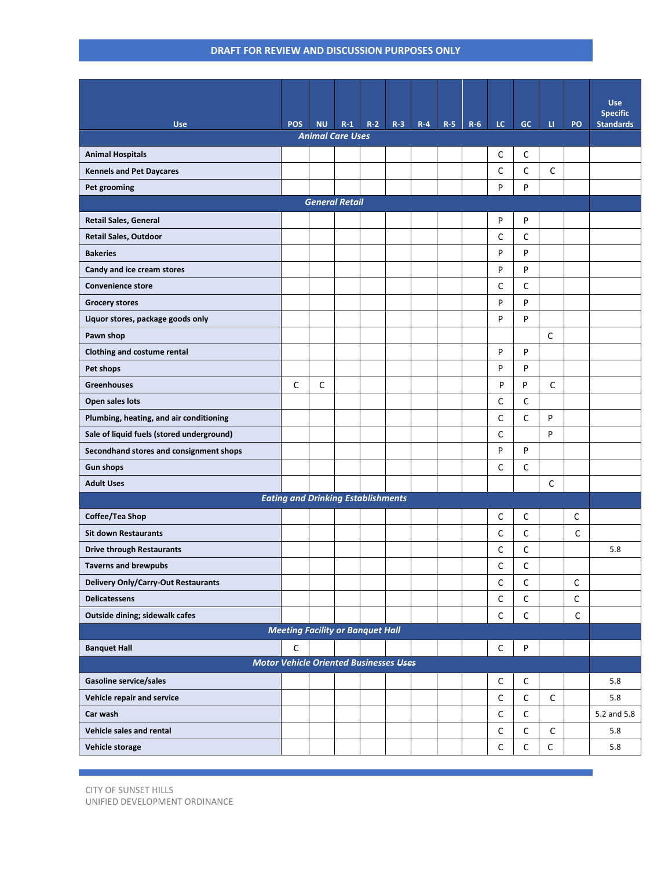|                                            |                                               |              |       |       |       |       |       |       |              |              |              |             | <b>Use</b><br><b>Specific</b> |
|--------------------------------------------|-----------------------------------------------|--------------|-------|-------|-------|-------|-------|-------|--------------|--------------|--------------|-------------|-------------------------------|
| <b>Use</b>                                 | <b>POS</b>                                    | <b>NU</b>    | $R-1$ | $R-2$ | $R-3$ | $R-4$ | $R-5$ | $R-6$ | LC.          | GC           | u.           | PO          | <b>Standards</b>              |
| <b>Animal Care Uses</b>                    |                                               |              |       |       |       |       |       |       |              |              |              |             |                               |
| <b>Animal Hospitals</b>                    |                                               |              |       |       |       |       |       |       | C            | C            |              |             |                               |
| <b>Kennels and Pet Daycares</b>            |                                               |              |       |       |       |       |       |       | $\mathsf{C}$ | $\mathsf{C}$ | $\mathsf{C}$ |             |                               |
| Pet grooming                               |                                               |              |       |       |       |       |       |       | P            | P            |              |             |                               |
| <b>General Retail</b>                      |                                               |              |       |       |       |       |       |       |              |              |              |             |                               |
| <b>Retail Sales, General</b>               |                                               |              |       |       |       |       |       |       | P            | P            |              |             |                               |
| <b>Retail Sales, Outdoor</b>               |                                               |              |       |       |       |       |       |       | C            | $\mathsf{C}$ |              |             |                               |
| <b>Bakeries</b>                            |                                               |              |       |       |       |       |       |       | P            | P            |              |             |                               |
| Candy and ice cream stores                 |                                               |              |       |       |       |       |       |       | P            | P            |              |             |                               |
| <b>Convenience store</b>                   |                                               |              |       |       |       |       |       |       | $\mathsf{C}$ | $\mathsf{C}$ |              |             |                               |
| <b>Grocery stores</b>                      |                                               |              |       |       |       |       |       |       | P            | P            |              |             |                               |
| Liquor stores, package goods only          |                                               |              |       |       |       |       |       |       | P            | P            |              |             |                               |
| Pawn shop                                  |                                               |              |       |       |       |       |       |       |              |              | $\mathsf{C}$ |             |                               |
| Clothing and costume rental                |                                               |              |       |       |       |       |       |       | P            | P            |              |             |                               |
| Pet shops                                  |                                               |              |       |       |       |       |       |       | P            | P            |              |             |                               |
| <b>Greenhouses</b>                         | $\mathsf{C}$                                  | $\mathsf{C}$ |       |       |       |       |       |       | P            | P            | $\mathsf{C}$ |             |                               |
| Open sales lots                            |                                               |              |       |       |       |       |       |       | C            | $\mathsf{C}$ |              |             |                               |
| Plumbing, heating, and air conditioning    |                                               |              |       |       |       |       |       |       | $\mathsf{C}$ | C            | P            |             |                               |
| Sale of liquid fuels (stored underground)  |                                               |              |       |       |       |       |       |       | $\mathsf{C}$ |              | P            |             |                               |
| Secondhand stores and consignment shops    |                                               |              |       |       |       |       |       |       | P            | P            |              |             |                               |
| <b>Gun shops</b>                           |                                               |              |       |       |       |       |       |       | $\mathsf{C}$ | $\mathsf C$  |              |             |                               |
| <b>Adult Uses</b>                          |                                               |              |       |       |       |       |       |       |              |              | $\mathsf C$  |             |                               |
|                                            | <b>Eating and Drinking Establishments</b>     |              |       |       |       |       |       |       |              |              |              |             |                               |
| Coffee/Tea Shop                            |                                               |              |       |       |       |       |       |       | $\mathsf C$  | $\mathsf C$  |              | C           |                               |
| <b>Sit down Restaurants</b>                |                                               |              |       |       |       |       |       |       | C            | $\mathsf{C}$ |              | C           |                               |
| <b>Drive through Restaurants</b>           |                                               |              |       |       |       |       |       |       | C            | $\mathsf{C}$ |              |             | 5.8                           |
| <b>Taverns and brewpubs</b>                |                                               |              |       |       |       |       |       |       | C            | $\mathsf{C}$ |              |             |                               |
| <b>Delivery Only/Carry-Out Restaurants</b> |                                               |              |       |       |       |       |       |       | $\mathsf C$  | $\mathsf C$  |              | $\mathsf C$ |                               |
| <b>Delicatessens</b>                       |                                               |              |       |       |       |       |       |       | $\mathsf C$  | $\mathsf C$  |              | $\mathsf C$ |                               |
| Outside dining; sidewalk cafes             |                                               |              |       |       |       |       |       |       | $\mathsf C$  | $\mathsf C$  |              | $\mathsf C$ |                               |
|                                            | <b>Meeting Facility or Banquet Hall</b>       |              |       |       |       |       |       |       |              |              |              |             |                               |
| <b>Banquet Hall</b>                        | $\mathsf C$                                   |              |       |       |       |       |       |       | $\mathsf C$  | $\sf P$      |              |             |                               |
|                                            | <b>Motor Vehicle Oriented Businesses Uses</b> |              |       |       |       |       |       |       |              |              |              |             |                               |
| Gasoline service/sales                     |                                               |              |       |       |       |       |       |       | $\mathsf C$  | $\mathsf C$  |              |             | 5.8                           |
| Vehicle repair and service                 |                                               |              |       |       |       |       |       |       | $\mathsf C$  | $\mathsf C$  | $\mathsf C$  |             | 5.8                           |
| Car wash                                   |                                               |              |       |       |       |       |       |       | $\mathsf C$  | $\mathsf C$  |              |             | 5.2 and 5.8                   |
| Vehicle sales and rental                   |                                               |              |       |       |       |       |       |       | $\mathsf C$  | $\mathsf C$  | $\mathsf C$  |             | 5.8                           |
| Vehicle storage                            |                                               |              |       |       |       |       |       |       | $\mathsf C$  | $\mathsf C$  | $\mathsf C$  |             | $5.8\,$                       |

CITY OF SUNSET HILLS UNIFIED DEVELOPMENT ORDINANCE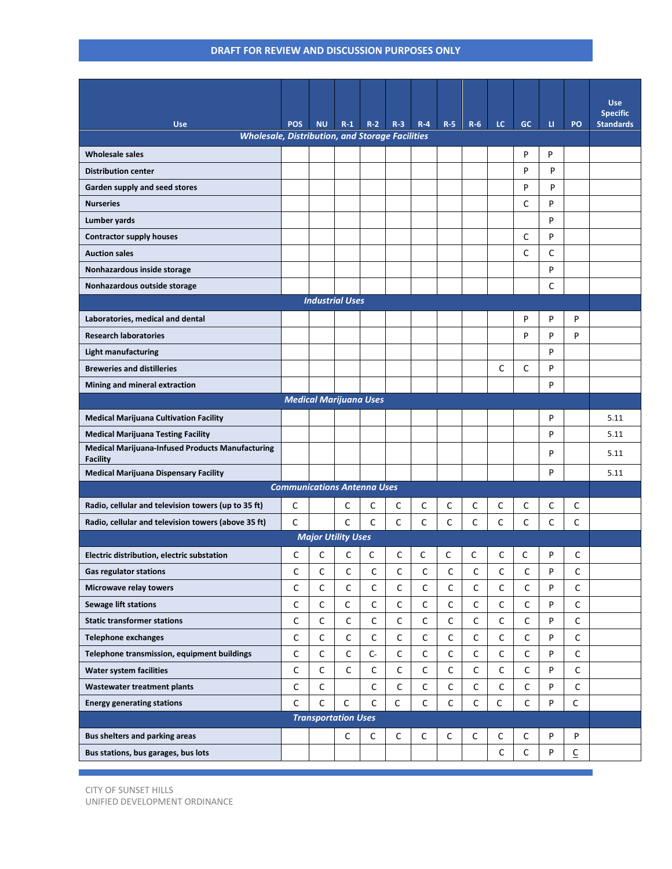| <b>Use</b>                                                                 | <b>POS</b>                         | <b>NU</b>                  | $R-1$       | $R-2$        | $R-3$          | $R - 4$     | $R-5$       | $R-6$        | LC.         | <b>GC</b>    | u | PO                       | <b>Use</b><br><b>Specific</b><br><b>Standards</b> |
|----------------------------------------------------------------------------|------------------------------------|----------------------------|-------------|--------------|----------------|-------------|-------------|--------------|-------------|--------------|---|--------------------------|---------------------------------------------------|
| <b>Wholesale, Distribution, and Storage Facilities</b>                     |                                    |                            |             |              |                |             |             |              |             |              |   |                          |                                                   |
| <b>Wholesale sales</b>                                                     |                                    |                            |             |              |                |             |             |              |             | P            | P |                          |                                                   |
| <b>Distribution center</b>                                                 |                                    |                            |             |              |                |             |             |              |             | P            | P |                          |                                                   |
| Garden supply and seed stores                                              |                                    |                            |             |              |                |             |             |              |             | P            | P |                          |                                                   |
| <b>Nurseries</b>                                                           |                                    |                            |             |              |                |             |             |              |             | C            | P |                          |                                                   |
| Lumber yards                                                               |                                    |                            |             |              |                |             |             |              |             |              | P |                          |                                                   |
| <b>Contractor supply houses</b>                                            |                                    |                            |             |              |                |             |             |              |             | C            | P |                          |                                                   |
| <b>Auction sales</b>                                                       |                                    |                            |             |              |                |             |             |              |             | C            | C |                          |                                                   |
| Nonhazardous inside storage                                                |                                    |                            |             |              |                |             |             |              |             |              | P |                          |                                                   |
| Nonhazardous outside storage                                               |                                    |                            |             |              |                |             |             |              |             |              | C |                          |                                                   |
| <b>Industrial Uses</b>                                                     |                                    |                            |             |              |                |             |             |              |             |              |   |                          |                                                   |
| Laboratories, medical and dental                                           |                                    |                            |             |              |                |             |             |              |             | P            | P | P                        |                                                   |
| <b>Research laboratories</b>                                               |                                    |                            |             |              |                |             |             |              |             | P            | P | P                        |                                                   |
| <b>Light manufacturing</b>                                                 |                                    |                            |             |              |                |             |             |              |             |              | P |                          |                                                   |
| <b>Breweries and distilleries</b>                                          |                                    |                            |             |              |                |             |             |              | C           | C            | P |                          |                                                   |
| Mining and mineral extraction                                              |                                    |                            |             |              |                |             |             |              |             |              | P |                          |                                                   |
| <b>Medical Marijuana Uses</b>                                              |                                    |                            |             |              |                |             |             |              |             |              |   |                          |                                                   |
| <b>Medical Marijuana Cultivation Facility</b>                              |                                    |                            |             |              |                |             |             |              |             |              | P |                          | 5.11                                              |
| <b>Medical Marijuana Testing Facility</b>                                  |                                    |                            |             |              |                |             |             |              |             |              | P |                          | 5.11                                              |
| <b>Medical Marijuana-Infused Products Manufacturing</b><br><b>Facility</b> |                                    |                            |             |              |                |             |             |              |             |              | P |                          | 5.11                                              |
| <b>Medical Marijuana Dispensary Facility</b>                               |                                    |                            |             |              |                |             |             |              |             |              | P |                          | 5.11                                              |
|                                                                            | <b>Communications Antenna Uses</b> |                            |             |              |                |             |             |              |             |              |   |                          |                                                   |
| Radio, cellular and television towers (up to 35 ft)                        | C                                  |                            | С           | C            | C              | $\mathsf C$ | C           | С            | С           | $\mathsf{C}$ | С | C                        |                                                   |
| Radio, cellular and television towers (above 35 ft)                        | C                                  |                            | C           | C            | С              | C           | C           | C            | C           | C            | C | C                        |                                                   |
|                                                                            |                                    | <b>Major Utility Uses</b>  |             |              |                |             |             |              |             |              |   |                          |                                                   |
| Electric distribution, electric substation                                 | C                                  | C                          | C           | С            | $\mathsf C$    | С           | C           | С            | $\mathsf C$ | C            | P | С                        |                                                   |
| <b>Gas regulator stations</b>                                              | C                                  | $\mathsf C$                | $\mathsf C$ | $\mathsf{C}$ | $\mathsf{C}^-$ | $\mathsf C$ | $\mathsf C$ | $\mathsf{C}$ | $\mathsf C$ | $\mathsf C$  | P | C                        |                                                   |
| Microwave relay towers                                                     | C                                  | C                          | C           | С            | $\mathsf C$    | С           | $\mathsf C$ | С            | $\mathsf C$ | C            | P | С                        |                                                   |
| <b>Sewage lift stations</b>                                                | $\mathsf C$                        | С                          | С           | C            | $\mathsf C$    | $\mathsf C$ | $\mathsf C$ | С            | $\mathsf C$ | C            | P | C                        |                                                   |
| <b>Static transformer stations</b>                                         | С                                  | $\mathsf C$                | $\mathsf C$ | С            | $\mathsf C$    | С           | $\mathsf C$ | С            | $\mathsf C$ | С            | P | С                        |                                                   |
| <b>Telephone exchanges</b>                                                 | C                                  | С                          | $\mathsf C$ | С            | $\mathsf C$    | $\mathsf C$ | $\mathsf C$ | С            | $\mathsf C$ | C            | P | C                        |                                                   |
| Telephone transmission, equipment buildings                                | $\mathsf C$                        | $\mathsf C$                | $\mathsf C$ | $\mathsf{C}$ | $\mathsf C$    | С           | $\mathsf C$ | С            | $\mathsf C$ | С            | P | С                        |                                                   |
| Water system facilities                                                    | $\mathsf C$                        | C                          | $\mathsf C$ | C            | $\mathsf C$    | $\mathsf C$ | $\mathsf C$ | С            | $\mathsf C$ | C            | P | C                        |                                                   |
| <b>Wastewater treatment plants</b>                                         | C                                  | $\mathsf C$                |             | С            | $\mathsf C$    | С           | $\mathsf C$ | С            | $\mathsf C$ | С            | P | С                        |                                                   |
| <b>Energy generating stations</b>                                          | C                                  | $\mathsf C$                | $\mathsf C$ | C            | С              | $\mathsf C$ | $\mathsf C$ | C            | $\mathsf C$ | C            | P | $\mathsf C$              |                                                   |
|                                                                            |                                    | <b>Transportation Uses</b> |             |              |                |             |             |              |             |              |   |                          |                                                   |
| <b>Bus shelters and parking areas</b>                                      |                                    |                            | C           | $\mathsf C$  | $\mathsf C$    | $\mathsf C$ | C           | $\mathsf C$  | С           | $\mathsf C$  | P | P                        |                                                   |
| Bus stations, bus garages, bus lots                                        |                                    |                            |             |              |                |             |             |              | С           | $\mathsf C$  | P | $\underline{\mathsf{C}}$ |                                                   |

CITY OF SUNSET HILLS UNIFIED DEVELOPMENT ORDINANCE